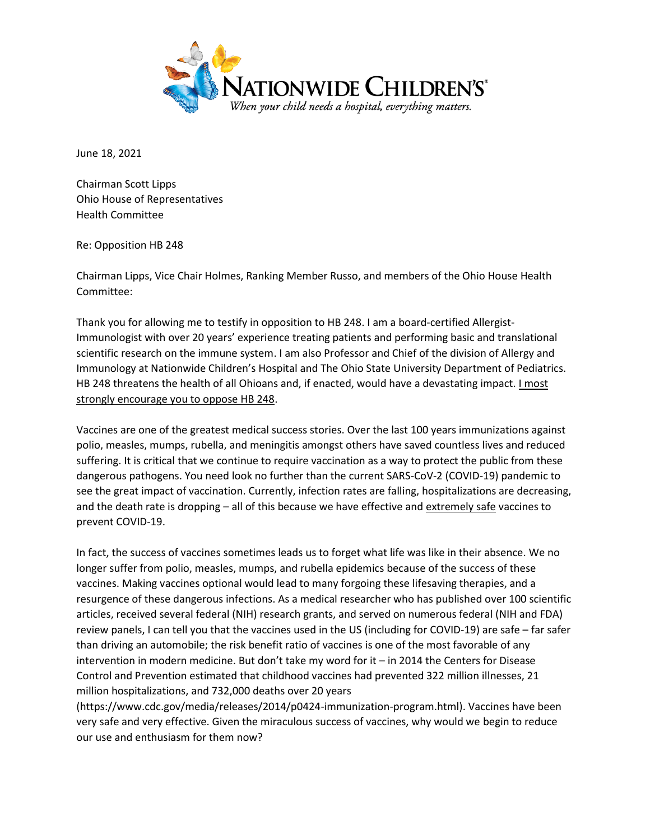

June 18, 2021

Chairman Scott Lipps Ohio House of Representatives Health Committee

Re: Opposition HB 248

Chairman Lipps, Vice Chair Holmes, Ranking Member Russo, and members of the Ohio House Health Committee:

Thank you for allowing me to testify in opposition to HB 248. I am a board-certified Allergist-Immunologist with over 20 years' experience treating patients and performing basic and translational scientific research on the immune system. I am also Professor and Chief of the division of Allergy and Immunology at Nationwide Children's Hospital and The Ohio State University Department of Pediatrics. HB 248 threatens the health of all Ohioans and, if enacted, would have a devastating impact. *I most* strongly encourage you to oppose HB 248.

Vaccines are one of the greatest medical success stories. Over the last 100 years immunizations against polio, measles, mumps, rubella, and meningitis amongst others have saved countless lives and reduced suffering. It is critical that we continue to require vaccination as a way to protect the public from these dangerous pathogens. You need look no further than the current SARS-CoV-2 (COVID-19) pandemic to see the great impact of vaccination. Currently, infection rates are falling, hospitalizations are decreasing, and the death rate is dropping – all of this because we have effective and extremely safe vaccines to prevent COVID-19.

In fact, the success of vaccines sometimes leads us to forget what life was like in their absence. We no longer suffer from polio, measles, mumps, and rubella epidemics because of the success of these vaccines. Making vaccines optional would lead to many forgoing these lifesaving therapies, and a resurgence of these dangerous infections. As a medical researcher who has published over 100 scientific articles, received several federal (NIH) research grants, and served on numerous federal (NIH and FDA) review panels, I can tell you that the vaccines used in the US (including for COVID-19) are safe – far safer than driving an automobile; the risk benefit ratio of vaccines is one of the most favorable of any intervention in modern medicine. But don't take my word for it – in 2014 the Centers for Disease Control and Prevention estimated that childhood vaccines had prevented 322 million illnesses, 21 million hospitalizations, and 732,000 deaths over 20 years

(https://www.cdc.gov/media/releases/2014/p0424-immunization-program.html). Vaccines have been very safe and very effective. Given the miraculous success of vaccines, why would we begin to reduce our use and enthusiasm for them now?